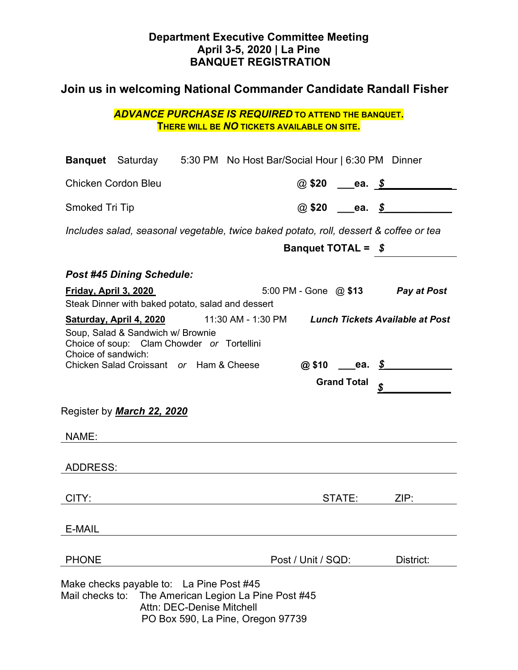### **Department Executive Committee Meeting April 3-5, 2020 | La Pine BANQUET REGISTRATION**

# **Join us in welcoming National Commander Candidate Randall Fisher**

| <b>ADVANCE PURCHASE IS REQUIRED TO ATTEND THE BANQUET.</b> |                                                    |  |  |  |  |
|------------------------------------------------------------|----------------------------------------------------|--|--|--|--|
|                                                            | <b>THERE WILL BE NO TICKETS AVAILABLE ON SITE.</b> |  |  |  |  |

| <b>Banquet</b> Saturday 5:30 PM No Host Bar/Social Hour   6:30 PM Dinner                                                                                                                                                                  |  |                                        |                          |                          |  |  |  |
|-------------------------------------------------------------------------------------------------------------------------------------------------------------------------------------------------------------------------------------------|--|----------------------------------------|--------------------------|--------------------------|--|--|--|
| <b>Chicken Cordon Bleu</b>                                                                                                                                                                                                                |  |                                        |                          | @ \$20 ____ea. <u>\$</u> |  |  |  |
| <b>Smoked Tri Tip</b>                                                                                                                                                                                                                     |  |                                        |                          | $\omega$ \$20 ea. \$     |  |  |  |
| Includes salad, seasonal vegetable, twice baked potato, roll, dessert & coffee or tea                                                                                                                                                     |  |                                        |                          |                          |  |  |  |
|                                                                                                                                                                                                                                           |  | <b>Banquet TOTAL = <math>\$</math></b> |                          |                          |  |  |  |
| <b>Post #45 Dining Schedule:</b>                                                                                                                                                                                                          |  |                                        |                          |                          |  |  |  |
| <u>Friday, April 3, 2020</u>                                                                                                                                                                                                              |  | 5:00 PM - Gone @ \$13 Pay at Post      |                          |                          |  |  |  |
| Steak Dinner with baked potato, salad and dessert<br>Saturday, April 4, 2020 11:30 AM - 1:30 PM Lunch Tickets Available at Post<br>Soup, Salad & Sandwich w/ Brownie<br>Choice of soup: Clam Chowder or Tortellini<br>Choice of sandwich: |  |                                        |                          |                          |  |  |  |
| Chicken Salad Croissant or Ham & Cheese                                                                                                                                                                                                   |  |                                        |                          | @\$10 ea. \$             |  |  |  |
|                                                                                                                                                                                                                                           |  |                                        | <b>Grand Total</b><br>\$ |                          |  |  |  |
| Register by <b>March 22, 2020</b>                                                                                                                                                                                                         |  |                                        |                          |                          |  |  |  |
| NAME:                                                                                                                                                                                                                                     |  |                                        |                          |                          |  |  |  |
| ADDRESS:                                                                                                                                                                                                                                  |  |                                        |                          |                          |  |  |  |
| CITY:                                                                                                                                                                                                                                     |  |                                        | STATE:                   | ZIP:                     |  |  |  |
| E-MAIL                                                                                                                                                                                                                                    |  |                                        |                          |                          |  |  |  |
| <b>PHONE</b>                                                                                                                                                                                                                              |  | Post / Unit / SQD:                     |                          | District:                |  |  |  |
| Make checks payable to: La Pine Post #45<br>Mail checks to: The American Legion La Pine Post #45<br>Attn: DEC-Denise Mitchell                                                                                                             |  |                                        |                          |                          |  |  |  |

PO Box 590, La Pine, Oregon 97739